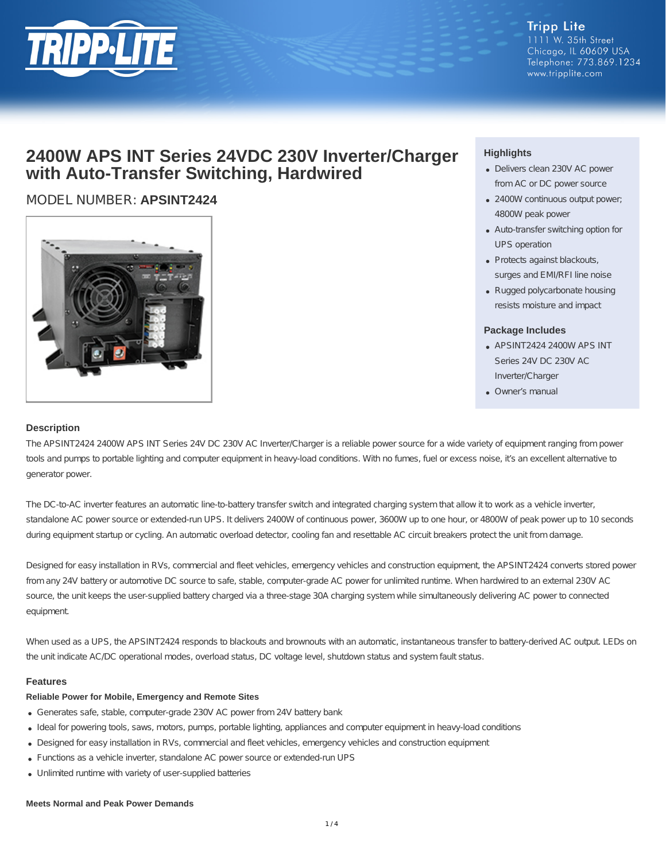

#### **Tripp Lite** 1111 W. 35th Street Chicago, IL 60609 USA Telephone: 773.869.1234 www.tripplite.com

## **2400W APS INT Series 24VDC 230V Inverter/Charger with Auto-Transfer Switching, Hardwired**

## MODEL NUMBER: **APSINT2424**



### **Highlights**

- Delivers clean 230V AC power from AC or DC power source
- 2400W continuous output power; 4800W peak power
- Auto-transfer switching option for UPS operation
- Protects against blackouts, surges and EMI/RFI line noise
- Rugged polycarbonate housing resists moisture and impact

#### **Package Includes**

- APSINT2424 2400W APS INT Series 24V DC 230V AC Inverter/Charger
- Owner's manual

#### **Description**

The APSINT2424 2400W APS INT Series 24V DC 230V AC Inverter/Charger is a reliable power source for a wide variety of equipment ranging from power tools and pumps to portable lighting and computer equipment in heavy-load conditions. With no fumes, fuel or excess noise, it's an excellent alternative to generator power.

The DC-to-AC inverter features an automatic line-to-battery transfer switch and integrated charging system that allow it to work as a vehicle inverter, standalone AC power source or extended-run UPS. It delivers 2400W of continuous power, 3600W up to one hour, or 4800W of peak power up to 10 seconds during equipment startup or cycling. An automatic overload detector, cooling fan and resettable AC circuit breakers protect the unit from damage.

Designed for easy installation in RVs, commercial and fleet vehicles, emergency vehicles and construction equipment, the APSINT2424 converts stored power from any 24V battery or automotive DC source to safe, stable, computer-grade AC power for unlimited runtime. When hardwired to an external 230V AC source, the unit keeps the user-supplied battery charged via a three-stage 30A charging system while simultaneously delivering AC power to connected equipment.

When used as a UPS, the APSINT2424 responds to blackouts and brownouts with an automatic, instantaneous transfer to battery-derived AC output. LEDs on the unit indicate AC/DC operational modes, overload status, DC voltage level, shutdown status and system fault status.

#### **Features**

#### **Reliable Power for Mobile, Emergency and Remote Sites**

- Generates safe, stable, computer-grade 230V AC power from 24V battery bank
- Ideal for powering tools, saws, motors, pumps, portable lighting, appliances and computer equipment in heavy-load conditions
- Designed for easy installation in RVs, commercial and fleet vehicles, emergency vehicles and construction equipment
- Functions as a vehicle inverter, standalone AC power source or extended-run UPS
- Unlimited runtime with variety of user-supplied batteries

#### **Meets Normal and Peak Power Demands**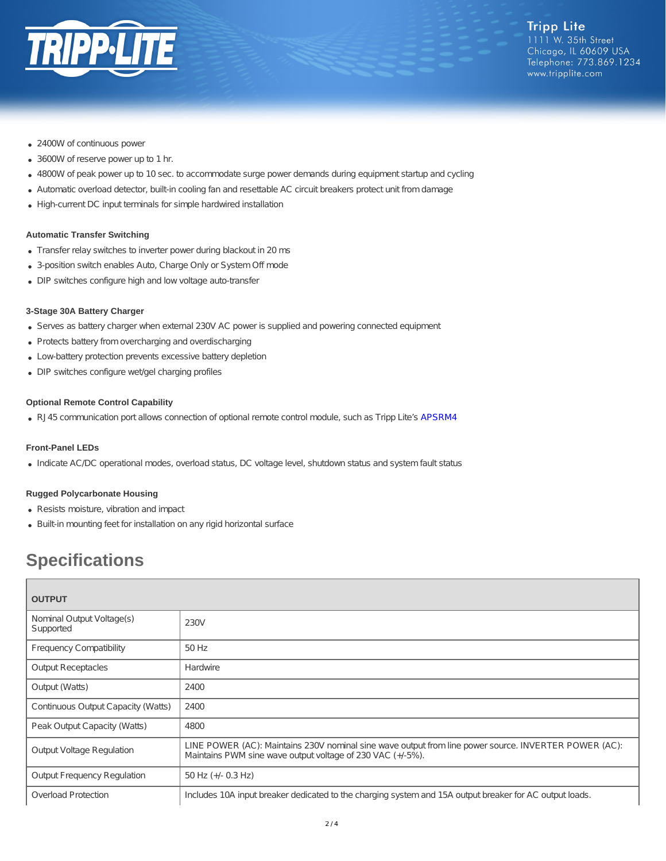

- 2400W of continuous power
- 3600W of reserve power up to 1 hr.
- 4800W of peak power up to 10 sec. to accommodate surge power demands during equipment startup and cycling
- Automatic overload detector, built-in cooling fan and resettable AC circuit breakers protect unit from damage
- High-current DC input terminals for simple hardwired installation

#### **Automatic Transfer Switching**

- Transfer relay switches to inverter power during blackout in 20 ms
- 3-position switch enables Auto, Charge Only or System Off mode
- DIP switches configure high and low voltage auto-transfer

#### **3-Stage 30A Battery Charger**

- Serves as battery charger when external 230V AC power is supplied and powering connected equipment
- Protects battery from overcharging and overdischarging
- Low-battery protection prevents excessive battery depletion
- DIP switches configure wet/gel charging profiles

#### **Optional Remote Control Capability**

RJ45 communication port allows connection of optional remote control module, such as Tripp Lite's [APSRM4](http://www.tripplite.com/Remote-Control-Module-Tripp-Lite-PowerVerter-Inverters-Inverter-Chargers~APSRM4)

#### **Front-Panel LEDs**

Indicate AC/DC operational modes, overload status, DC voltage level, shutdown status and system fault status

#### **Rugged Polycarbonate Housing**

- Resists moisture, vibration and impact
- Built-in mounting feet for installation on any rigid horizontal surface

# **Specifications**

| <b>OUTPUT</b>                          |                                                                                                                                                                     |  |
|----------------------------------------|---------------------------------------------------------------------------------------------------------------------------------------------------------------------|--|
| Nominal Output Voltage(s)<br>Supported | 230V                                                                                                                                                                |  |
| <b>Frequency Compatibility</b>         | 50 Hz                                                                                                                                                               |  |
| <b>Output Receptacles</b>              | Hardwire                                                                                                                                                            |  |
| Output (Watts)                         | 2400                                                                                                                                                                |  |
| Continuous Output Capacity (Watts)     | 2400                                                                                                                                                                |  |
| Peak Output Capacity (Watts)           | 4800                                                                                                                                                                |  |
| <b>Output Voltage Regulation</b>       | LINE POWER (AC): Maintains 230V nominal sine wave output from line power source. INVERTER POWER (AC):<br>Maintains PWM sine wave output voltage of 230 VAC (+/-5%). |  |
| <b>Output Frequency Regulation</b>     | 50 Hz $(+/- 0.3$ Hz)                                                                                                                                                |  |
| <b>Overload Protection</b>             | Includes 10A input breaker dedicated to the charging system and 15A output breaker for AC output loads.                                                             |  |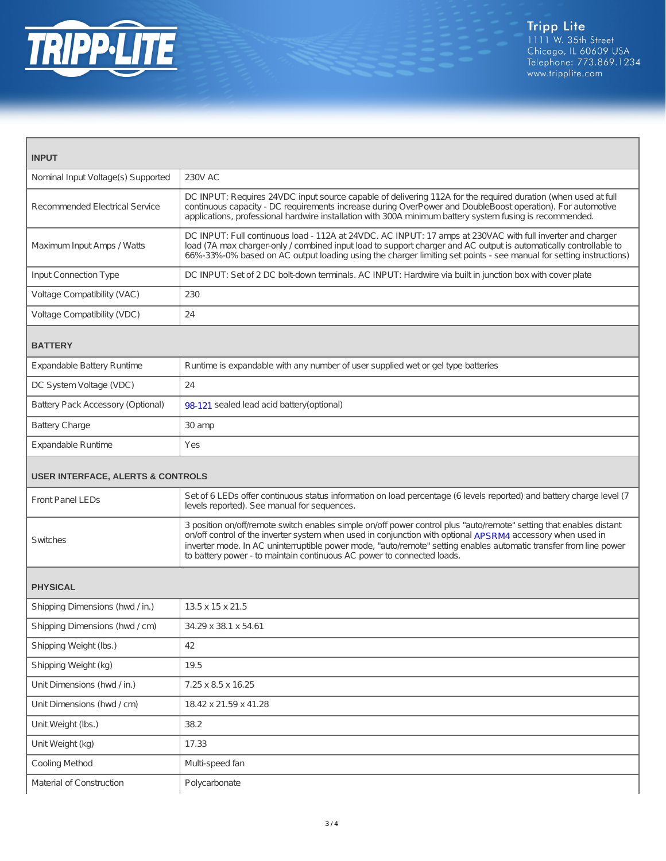

| <b>INPUT</b>                                 |                                                                                                                                                                                                                                                                                                                                                                                                                                  |  |
|----------------------------------------------|----------------------------------------------------------------------------------------------------------------------------------------------------------------------------------------------------------------------------------------------------------------------------------------------------------------------------------------------------------------------------------------------------------------------------------|--|
| Nominal Input Voltage(s) Supported           | <b>230V AC</b>                                                                                                                                                                                                                                                                                                                                                                                                                   |  |
| <b>Recommended Electrical Service</b>        | DC INPUT: Requires 24VDC input source capable of delivering 112A for the required duration (when used at full<br>continuous capacity - DC requirements increase during OverPower and DoubleBoost operation). For automotive<br>applications, professional hardwire installation with 300A minimum battery system fusing is recommended.                                                                                          |  |
| Maximum Input Amps / Watts                   | DC INPUT: Full continuous load - 112A at 24VDC. AC INPUT: 17 amps at 230VAC with full inverter and charger<br>load (7A max charger-only / combined input load to support charger and AC output is automatically controllable to<br>66%-33%-0% based on AC output loading using the charger limiting set points - see manual for setting instructions)                                                                            |  |
| <b>Input Connection Type</b>                 | DC INPUT: Set of 2 DC bolt-down terminals. AC INPUT: Hardwire via built in junction box with cover plate                                                                                                                                                                                                                                                                                                                         |  |
| Voltage Compatibility (VAC)                  | 230                                                                                                                                                                                                                                                                                                                                                                                                                              |  |
| Voltage Compatibility (VDC)                  | 24                                                                                                                                                                                                                                                                                                                                                                                                                               |  |
| <b>BATTERY</b>                               |                                                                                                                                                                                                                                                                                                                                                                                                                                  |  |
| Expandable Battery Runtime                   | Runtime is expandable with any number of user supplied wet or gel type batteries                                                                                                                                                                                                                                                                                                                                                 |  |
| DC System Voltage (VDC)                      | 24                                                                                                                                                                                                                                                                                                                                                                                                                               |  |
| Battery Pack Accessory (Optional)            | 98-121 sealed lead acid battery (optional)                                                                                                                                                                                                                                                                                                                                                                                       |  |
| <b>Battery Charge</b>                        | 30 amp                                                                                                                                                                                                                                                                                                                                                                                                                           |  |
| <b>Expandable Runtime</b>                    | Yes                                                                                                                                                                                                                                                                                                                                                                                                                              |  |
| <b>USER INTERFACE, ALERTS &amp; CONTROLS</b> |                                                                                                                                                                                                                                                                                                                                                                                                                                  |  |
| <b>Front Panel LEDs</b>                      | Set of 6 LEDs offer continuous status information on load percentage (6 levels reported) and battery charge level (7<br>levels reported). See manual for sequences.                                                                                                                                                                                                                                                              |  |
| Switches                                     | 3 position on/off/remote switch enables simple on/off power control plus "auto/remote" setting that enables distant<br>on/off control of the inverter system when used in conjunction with optional APSRM4 accessory when used in<br>inverter mode. In AC uninterruptible power mode, "auto/remote" setting enables automatic transfer from line power<br>to battery power - to maintain continuous AC power to connected loads. |  |
| <b>PHYSICAL</b>                              |                                                                                                                                                                                                                                                                                                                                                                                                                                  |  |
| Shipping Dimensions (hwd / in.)              | 13.5 x 15 x 21.5                                                                                                                                                                                                                                                                                                                                                                                                                 |  |
| Shipping Dimensions (hwd / cm)               | 34.29 x 38.1 x 54.61                                                                                                                                                                                                                                                                                                                                                                                                             |  |
| Shipping Weight (lbs.)                       | 42                                                                                                                                                                                                                                                                                                                                                                                                                               |  |
| Shipping Weight (kg)                         | 19.5                                                                                                                                                                                                                                                                                                                                                                                                                             |  |
| Unit Dimensions (hwd / in.)                  | 7.25 x 8.5 x 16.25                                                                                                                                                                                                                                                                                                                                                                                                               |  |
| Unit Dimensions (hwd / cm)                   | 18.42 x 21.59 x 41.28                                                                                                                                                                                                                                                                                                                                                                                                            |  |
| Unit Weight (lbs.)                           | 38.2                                                                                                                                                                                                                                                                                                                                                                                                                             |  |
| Unit Weight (kg)                             | 17.33                                                                                                                                                                                                                                                                                                                                                                                                                            |  |
| Cooling Method                               | Multi-speed fan                                                                                                                                                                                                                                                                                                                                                                                                                  |  |
| Material of Construction                     | Polycarbonate                                                                                                                                                                                                                                                                                                                                                                                                                    |  |